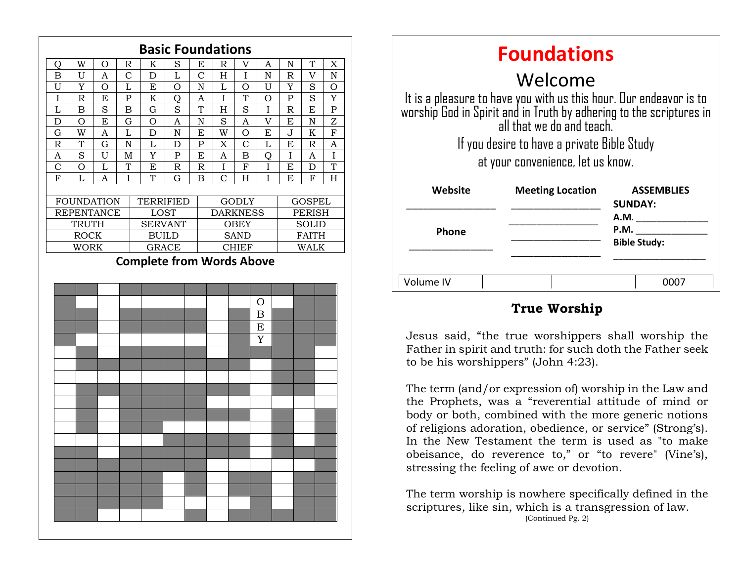

| <b>Foundations</b>                                                                                                                                                     |                         |                                     |
|------------------------------------------------------------------------------------------------------------------------------------------------------------------------|-------------------------|-------------------------------------|
| Welcome                                                                                                                                                                |                         |                                     |
| It is a pleasure to have you with us this hour. Our endeavor is to<br>worship God in Spirit and in Truth by adhering to the scriptures in<br>all that we do and teach. |                         |                                     |
| If you desire to have a private Bible Study                                                                                                                            |                         |                                     |
| at your convenience, let us know.                                                                                                                                      |                         |                                     |
| Website                                                                                                                                                                | <b>Meeting Location</b> | <b>ASSEMBLIES</b><br><b>SUNDAY:</b> |
|                                                                                                                                                                        |                         | A.M.                                |
| <b>Phone</b>                                                                                                                                                           |                         | P.M.<br><b>Bible Study:</b>         |
|                                                                                                                                                                        |                         |                                     |
| Volume IV                                                                                                                                                              |                         |                                     |

# **True Worship**

to be his worshippers" (John 4:23). Jesus said, "the true worshippers shall worship the Father in spirit and truth: for such doth the Father seek

The term (and/or expression of) worship in the Law and the Prophets, was a "reverential attitude of mind or body or both, combined with the more generic notions of religions adoration, obedience, or service" (Strong's). In the New Testament the term is used as "to make obeisance, do reverence to," or "to revere" (Vine's), stressing the feeling of awe or devotion.

The term worship is nowhere specifically defined in the scriptures, like sin, which is a transgression of law. (Continued Pg. 2)